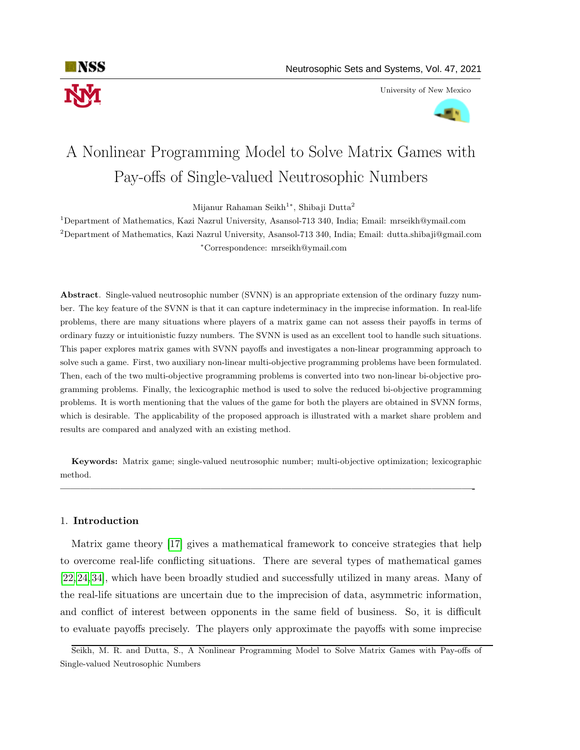

University of New Mexico



# A Nonlinear Programming Model to Solve Matrix Games with Pay-offs of Single-valued Neutrosophic Numbers

Mijanur Rahaman Seikh<sup>1</sup>\*, Shibaji Dutta<sup>2</sup>

<sup>1</sup>Department of Mathematics, Kazi Nazrul University, Asansol-713 340, India; Email: mrseikh@ymail.com <sup>2</sup>Department of Mathematics, Kazi Nazrul University, Asansol-713 340, India; Email: dutta.shibaji@gmail.com <sup>∗</sup>Correspondence: mrseikh@ymail.com

Abstract. Single-valued neutrosophic number (SVNN) is an appropriate extension of the ordinary fuzzy number. The key feature of the SVNN is that it can capture indeterminacy in the imprecise information. In real-life problems, there are many situations where players of a matrix game can not assess their payoffs in terms of ordinary fuzzy or intuitionistic fuzzy numbers. The SVNN is used as an excellent tool to handle such situations. This paper explores matrix games with SVNN payoffs and investigates a non-linear programming approach to solve such a game. First, two auxiliary non-linear multi-objective programming problems have been formulated. Then, each of the two multi-objective programming problems is converted into two non-linear bi-objective programming problems. Finally, the lexicographic method is used to solve the reduced bi-objective programming problems. It is worth mentioning that the values of the game for both the players are obtained in SVNN forms, which is desirable. The applicability of the proposed approach is illustrated with a market share problem and results are compared and analyzed with an existing method.

Keywords: Matrix game; single-valued neutrosophic number; multi-objective optimization; lexicographic method.

—————————————————————————————————————————-

# 1. Introduction

Matrix game theory [\[17\]](#page-16-0) gives a mathematical framework to conceive strategies that help to overcome real-life conflicting situations. There are several types of mathematical games [\[22,](#page-17-0) [24,](#page-17-1) [34\]](#page-17-2), which have been broadly studied and successfully utilized in many areas. Many of the real-life situations are uncertain due to the imprecision of data, asymmetric information, and conflict of interest between opponents in the same field of business. So, it is difficult to evaluate payoffs precisely. The players only approximate the payoffs with some imprecise

Seikh, M. R. and Dutta, S., A Nonlinear Programming Model to Solve Matrix Games with Pay-offs of Single-valued Neutrosophic Numbers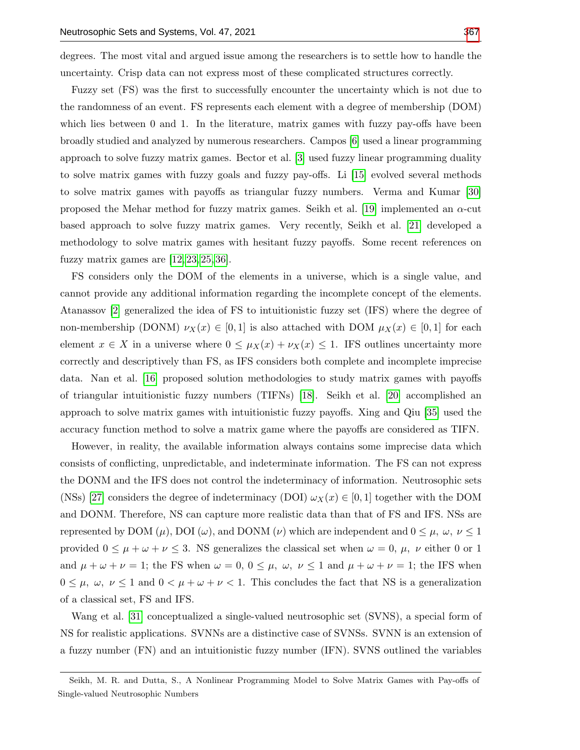degrees. The most vital and argued issue among the researchers is to settle how to handle the uncertainty. Crisp data can not express most of these complicated structures correctly.

Fuzzy set (FS) was the first to successfully encounter the uncertainty which is not due to the randomness of an event. FS represents each element with a degree of membership (DOM) which lies between 0 and 1. In the literature, matrix games with fuzzy pay-offs have been broadly studied and analyzed by numerous researchers. Campos [\[6\]](#page-16-1) used a linear programming approach to solve fuzzy matrix games. Bector et al. [\[3\]](#page-16-2) used fuzzy linear programming duality to solve matrix games with fuzzy goals and fuzzy pay-offs. Li [\[15\]](#page-16-3) evolved several methods to solve matrix games with payoffs as triangular fuzzy numbers. Verma and Kumar [\[30\]](#page-17-4) proposed the Mehar method for fuzzy matrix games. Seikh et al. [\[19\]](#page-16-4) implemented an  $\alpha$ -cut based approach to solve fuzzy matrix games. Very recently, Seikh et al. [\[21\]](#page-16-5) developed a methodology to solve matrix games with hesitant fuzzy payoffs. Some recent references on fuzzy matrix games are  $[12, 23, 25, 36]$  $[12, 23, 25, 36]$  $[12, 23, 25, 36]$  $[12, 23, 25, 36]$ .

FS considers only the DOM of the elements in a universe, which is a single value, and cannot provide any additional information regarding the incomplete concept of the elements. Atanassov [\[2\]](#page-16-7) generalized the idea of FS to intuitionistic fuzzy set (IFS) where the degree of non-membership (DONM)  $\nu_X(x) \in [0,1]$  is also attached with DOM  $\mu_X(x) \in [0,1]$  for each element  $x \in X$  in a universe where  $0 \leq \mu_X(x) + \nu_X(x) \leq 1$ . IFS outlines uncertainty more correctly and descriptively than FS, as IFS considers both complete and incomplete imprecise data. Nan et al. [\[16\]](#page-16-8) proposed solution methodologies to study matrix games with payoffs of triangular intuitionistic fuzzy numbers (TIFNs) [\[18\]](#page-16-9). Seikh et al. [\[20\]](#page-16-10) accomplished an approach to solve matrix games with intuitionistic fuzzy payoffs. Xing and Qiu [\[35\]](#page-17-8) used the accuracy function method to solve a matrix game where the payoffs are considered as TIFN.

However, in reality, the available information always contains some imprecise data which consists of conflicting, unpredictable, and indeterminate information. The FS can not express the DONM and the IFS does not control the indeterminacy of information. Neutrosophic sets (NSs) [\[27\]](#page-17-9) considers the degree of indeterminacy (DOI)  $\omega_X(x) \in [0,1]$  together with the DOM and DONM. Therefore, NS can capture more realistic data than that of FS and IFS. NSs are represented by DOM ( $\mu$ ), DOI ( $\omega$ ), and DONM ( $\nu$ ) which are independent and  $0 \leq \mu$ ,  $\omega$ ,  $\nu \leq 1$ provided  $0 \le \mu + \omega + \nu \le 3$ . NS generalizes the classical set when  $\omega = 0$ ,  $\mu$ ,  $\nu$  either 0 or 1 and  $\mu + \omega + \nu = 1$ ; the FS when  $\omega = 0$ ,  $0 \leq \mu$ ,  $\omega$ ,  $\nu \leq 1$  and  $\mu + \omega + \nu = 1$ ; the IFS when  $0 \leq \mu$ ,  $\omega$ ,  $\nu \leq 1$  and  $0 < \mu + \omega + \nu < 1$ . This concludes the fact that NS is a generalization of a classical set, FS and IFS.

Wang et al. [\[31\]](#page-17-10) conceptualized a single-valued neutrosophic set (SVNS), a special form of NS for realistic applications. SVNNs are a distinctive case of SVNSs. SVNN is an extension of a fuzzy number (FN) and an intuitionistic fuzzy number (IFN). SVNS outlined the variables

Seikh, M. R. and Dutta, S., A Nonlinear Programming Model to Solve Matrix Games with Pay-offs of Single-valued Neutrosophic Numbers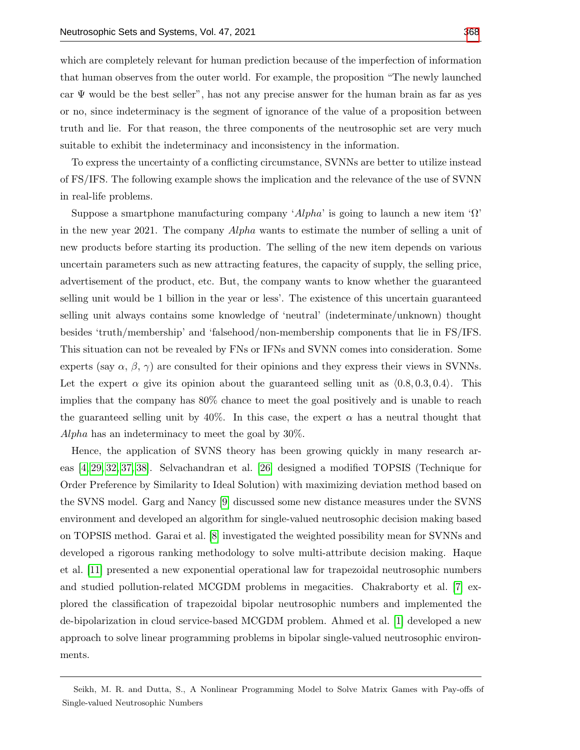which are completely relevant for human prediction because of the imperfection of information that human observes from the outer world. For example, the proposition "The newly launched car  $\Psi$  would be the best seller", has not any precise answer for the human brain as far as yes or no, since indeterminacy is the segment of ignorance of the value of a proposition between truth and lie. For that reason, the three components of the neutrosophic set are very much suitable to exhibit the indeterminacy and inconsistency in the information.

To express the uncertainty of a conflicting circumstance, SVNNs are better to utilize instead of FS/IFS. The following example shows the implication and the relevance of the use of SVNN in real-life problems.

Suppose a smartphone manufacturing company 'Alpha' is going to launch a new item ' $\Omega$ ' in the new year 2021. The company Alpha wants to estimate the number of selling a unit of new products before starting its production. The selling of the new item depends on various uncertain parameters such as new attracting features, the capacity of supply, the selling price, advertisement of the product, etc. But, the company wants to know whether the guaranteed selling unit would be 1 billion in the year or less'. The existence of this uncertain guaranteed selling unit always contains some knowledge of 'neutral' (indeterminate/unknown) thought besides 'truth/membership' and 'falsehood/non-membership components that lie in FS/IFS. This situation can not be revealed by FNs or IFNs and SVNN comes into consideration. Some experts (say  $\alpha$ ,  $\beta$ ,  $\gamma$ ) are consulted for their opinions and they express their views in SVNNs. Let the expert  $\alpha$  give its opinion about the guaranteed selling unit as  $(0.8, 0.3, 0.4)$ . This implies that the company has 80% chance to meet the goal positively and is unable to reach the guaranteed selling unit by  $40\%$ . In this case, the expert  $\alpha$  has a neutral thought that Alpha has an indeterminacy to meet the goal by 30%.

Hence, the application of SVNS theory has been growing quickly in many research areas [\[4,](#page-16-11) [29,](#page-17-11) [32,](#page-17-12) [37,](#page-17-13) [38\]](#page-17-14). Selvachandran et al. [\[26\]](#page-17-15) designed a modified TOPSIS (Technique for Order Preference by Similarity to Ideal Solution) with maximizing deviation method based on the SVNS model. Garg and Nancy [\[9\]](#page-16-12) discussed some new distance measures under the SVNS environment and developed an algorithm for single-valued neutrosophic decision making based on TOPSIS method. Garai et al. [\[8\]](#page-16-13) investigated the weighted possibility mean for SVNNs and developed a rigorous ranking methodology to solve multi-attribute decision making. Haque et al. [\[11\]](#page-16-14) presented a new exponential operational law for trapezoidal neutrosophic numbers and studied pollution-related MCGDM problems in megacities. Chakraborty et al. [\[7\]](#page-16-15) explored the classification of trapezoidal bipolar neutrosophic numbers and implemented the de-bipolarization in cloud service-based MCGDM problem. Ahmed et al. [\[1\]](#page-15-0) developed a new approach to solve linear programming problems in bipolar single-valued neutrosophic environments.

Seikh, M. R. and Dutta, S., A Nonlinear Programming Model to Solve Matrix Games with Pay-offs of Single-valued Neutrosophic Numbers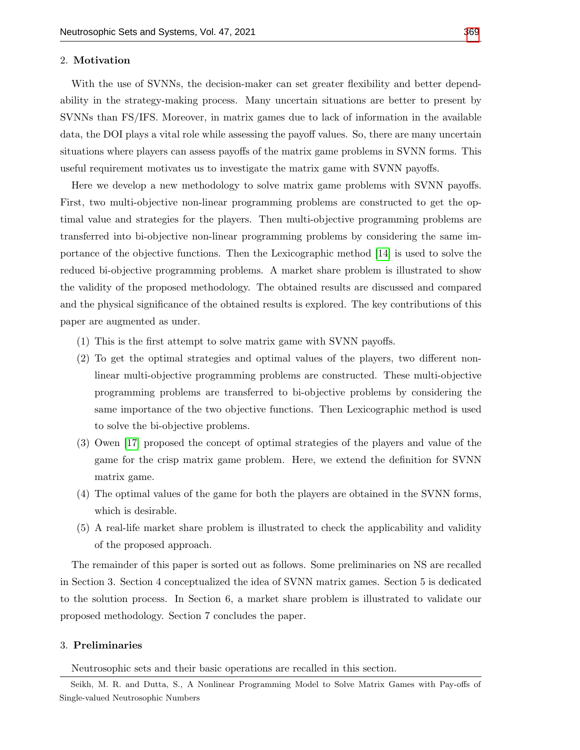#### 2. Motivation

With the use of SVNNs, the decision-maker can set greater flexibility and better dependability in the strategy-making process. Many uncertain situations are better to present by SVNNs than FS/IFS. Moreover, in matrix games due to lack of information in the available data, the DOI plays a vital role while assessing the payoff values. So, there are many uncertain situations where players can assess payoffs of the matrix game problems in SVNN forms. This useful requirement motivates us to investigate the matrix game with SVNN payoffs.

Here we develop a new methodology to solve matrix game problems with SVNN payoffs. First, two multi-objective non-linear programming problems are constructed to get the optimal value and strategies for the players. Then multi-objective programming problems are transferred into bi-objective non-linear programming problems by considering the same importance of the objective functions. Then the Lexicographic method [\[14\]](#page-16-16) is used to solve the reduced bi-objective programming problems. A market share problem is illustrated to show the validity of the proposed methodology. The obtained results are discussed and compared and the physical significance of the obtained results is explored. The key contributions of this paper are augmented as under.

- (1) This is the first attempt to solve matrix game with SVNN payoffs.
- (2) To get the optimal strategies and optimal values of the players, two different nonlinear multi-objective programming problems are constructed. These multi-objective programming problems are transferred to bi-objective problems by considering the same importance of the two objective functions. Then Lexicographic method is used to solve the bi-objective problems.
- (3) Owen [\[17\]](#page-16-0) proposed the concept of optimal strategies of the players and value of the game for the crisp matrix game problem. Here, we extend the definition for SVNN matrix game.
- (4) The optimal values of the game for both the players are obtained in the SVNN forms, which is desirable.
- (5) A real-life market share problem is illustrated to check the applicability and validity of the proposed approach.

The remainder of this paper is sorted out as follows. Some preliminaries on NS are recalled in Section 3. Section 4 conceptualized the idea of SVNN matrix games. Section 5 is dedicated to the solution process. In Section 6, a market share problem is illustrated to validate our proposed methodology. Section 7 concludes the paper.

# 3. Preliminaries

Neutrosophic sets and their basic operations are recalled in this section.

Seikh, M. R. and Dutta, S., A Nonlinear Programming Model to Solve Matrix Games with Pay-offs of Single-valued Neutrosophic Numbers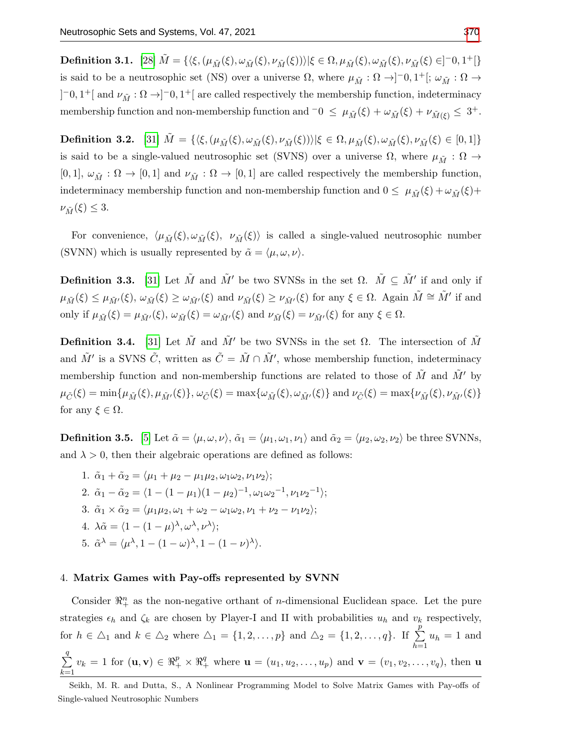$\textbf{Definition 3.1.}\ \ [28]\ \tilde{M}=\{\langle \xi, (\mu_{\tilde{M}}(\xi),\omega_{\tilde{M}}(\xi),\nu_{\tilde{M}}(\xi))\rangle|\xi\in\Omega, \mu_{\tilde{M}}(\xi),\omega_{\tilde{M}}(\xi),\nu_{\tilde{M}}(\xi)\in ]^{-0,1^+}[\}$  $\textbf{Definition 3.1.}\ \ [28]\ \tilde{M}=\{\langle \xi, (\mu_{\tilde{M}}(\xi),\omega_{\tilde{M}}(\xi),\nu_{\tilde{M}}(\xi))\rangle|\xi\in\Omega, \mu_{\tilde{M}}(\xi),\omega_{\tilde{M}}(\xi),\nu_{\tilde{M}}(\xi)\in ]^{-0,1^+}[\}$  $\textbf{Definition 3.1.}\ \ [28]\ \tilde{M}=\{\langle \xi, (\mu_{\tilde{M}}(\xi),\omega_{\tilde{M}}(\xi),\nu_{\tilde{M}}(\xi))\rangle|\xi\in\Omega, \mu_{\tilde{M}}(\xi),\omega_{\tilde{M}}(\xi),\nu_{\tilde{M}}(\xi)\in ]^{-0,1^+}[\}$ is said to be a neutrosophic set (NS) over a universe  $\Omega$ , where  $\mu_{\tilde{M}} : \Omega \to ]-0,1^+[$ ;  $\omega_{\tilde{M}} : \Omega \to$  $[-0,1^+]$  and  $\nu_{\tilde{M}}:\Omega \to ]-0,1^+]$  are called respectively the membership function, indeterminacy membership function and non-membership function and  $\overline{\phantom{a}} 0 \leq \mu_{\tilde{M}}(\xi) + \omega_{\tilde{M}}(\xi) + \nu_{\tilde{M}(\xi)} \leq 3^+$ .

**Definition 3.2.** [\[31\]](#page-17-10)  $\tilde{M} = \{\langle \xi, (\mu_{\tilde{M}}(\xi), \omega_{\tilde{M}}(\xi), \nu_{\tilde{M}}(\xi)) \rangle | \xi \in \Omega, \mu_{\tilde{M}}(\xi), \omega_{\tilde{M}}(\xi), \nu_{\tilde{M}}(\xi) \in [0, 1] \}$ is said to be a single-valued neutrosophic set (SVNS) over a universe  $\Omega$ , where  $\mu_{\tilde{M}} : \Omega \to$ [0, 1],  $\omega_{\tilde{M}} : \Omega \to [0, 1]$  and  $\nu_{\tilde{M}} : \Omega \to [0, 1]$  are called respectively the membership function, indeterminacy membership function and non-membership function and  $0 \le \mu_{\tilde{M}}(\xi) + \omega_{\tilde{M}}(\xi) +$  $\nu_{\tilde{M}}(\xi) \leq 3.$ 

For convenience,  $\langle \mu_{\tilde{M}}(\xi), \omega_{\tilde{M}}(\xi), \nu_{\tilde{M}}(\xi) \rangle$  is called a single-valued neutrosophic number (SVNN) which is usually represented by  $\tilde{\alpha} = \langle \mu, \omega, \nu \rangle$ .

<span id="page-4-0"></span>**Definition 3.3.** [\[31\]](#page-17-10) Let  $\tilde{M}$  and  $\tilde{M}'$  be two SVNSs in the set  $\Omega$ .  $\tilde{M} \subseteq \tilde{M}'$  if and only if  $\mu_{\tilde{M}}(\xi) \leq \mu_{\tilde{M}'}(\xi), \ \omega_{\tilde{M}}(\xi) \geq \omega_{\tilde{M}'}(\xi)$  and  $\nu_{\tilde{M}}(\xi) \geq \nu_{\tilde{M}'}(\xi)$  for any  $\xi \in \Omega$ . Again  $\tilde{M} \cong \tilde{M}'$  if and only if  $\mu_{\tilde{M}}(\xi) = \mu_{\tilde{M}'}(\xi)$ ,  $\omega_{\tilde{M}}(\xi) = \omega_{\tilde{M}'}(\xi)$  and  $\nu_{\tilde{M}}(\xi) = \nu_{\tilde{M}'}(\xi)$  for any  $\xi \in \Omega$ .

**Definition 3.4.** [\[31\]](#page-17-10) Let  $\tilde{M}$  and  $\tilde{M}'$  be two SVNSs in the set  $\Omega$ . The intersection of  $\tilde{M}$ and  $\tilde{M}'$  is a SVNS  $\tilde{C}$ , written as  $\tilde{C} = \tilde{M} \cap \tilde{M}'$ , whose membership function, indeterminacy membership function and non-membership functions are related to those of  $\tilde{M}$  and  $\tilde{M}'$  by  $\mu_{\tilde{C}}(\xi) = \min{\mu_{\tilde{M}}(\xi), \mu_{\tilde{M}'}(\xi)}, \omega_{\tilde{C}}(\xi) = \max{\omega_{\tilde{M}}(\xi), \omega_{\tilde{M}'}(\xi)} \text{ and } \nu_{\tilde{C}}(\xi) = \max{\nu_{\tilde{M}}(\xi), \nu_{\tilde{M}'}(\xi)}$ for any  $\xi \in \Omega$ .

**Definition 3.5.** [\[5\]](#page-16-17) Let  $\tilde{\alpha} = \langle \mu, \omega, \nu \rangle$ ,  $\tilde{\alpha}_1 = \langle \mu_1, \omega_1, \nu_1 \rangle$  and  $\tilde{\alpha}_2 = \langle \mu_2, \omega_2, \nu_2 \rangle$  be three SVNNs, and  $\lambda > 0$ , then their algebraic operations are defined as follows:

1.  $\tilde{\alpha}_1 + \tilde{\alpha}_2 = \langle \mu_1 + \mu_2 - \mu_1 \mu_2, \omega_1 \omega_2, \nu_1 \nu_2 \rangle$ ; 2.  $\tilde{\alpha}_1 - \tilde{\alpha}_2 = \langle 1 - (1 - \mu_1)(1 - \mu_2)^{-1}, \omega_1 \omega_2^{-1}, \nu_1 \nu_2^{-1} \rangle;$ 3.  $\tilde{\alpha}_1 \times \tilde{\alpha}_2 = \langle \mu_1 \mu_2, \omega_1 + \omega_2 - \omega_1 \omega_2, \nu_1 + \nu_2 - \nu_1 \nu_2 \rangle;$ 4.  $\lambda \tilde{\alpha} = \langle 1 - (1 - \mu)^{\lambda}, \omega^{\lambda}, \nu^{\lambda} \rangle;$ 5.  $\tilde{\alpha}^{\lambda} = \langle \mu^{\lambda}, 1 - (1 - \omega)^{\lambda}, 1 - (1 - \nu)^{\lambda} \rangle$ .

## 4. Matrix Games with Pay-offs represented by SVNN

Consider  $\mathbb{R}^n_+$  as the non-negative orthant of *n*-dimensional Euclidean space. Let the pure strategies  $\epsilon_h$  and  $\zeta_k$  are chosen by Player-I and II with probabilities  $u_h$  and  $v_k$  respectively, for  $h \in \triangle_1$  and  $k \in \triangle_2$  where  $\triangle_1 = \{1, 2, \ldots, p\}$  and  $\triangle_2 = \{1, 2, \ldots, q\}$ . If  $\sum$ p  $_{h=1}$  $u_h = 1$  and  $\sum$ q  $k=1$  $v_k = 1$  for  $(\mathbf{u}, \mathbf{v}) \in \mathbb{R}_+^p \times \mathbb{R}_+^q$  where  $\mathbf{u} = (u_1, u_2, \dots, u_p)$  and  $\mathbf{v} = (v_1, v_2, \dots, v_q)$ , then  $\mathbf{u}$ 

Seikh, M. R. and Dutta, S., A Nonlinear Programming Model to Solve Matrix Games with Pay-offs of Single-valued Neutrosophic Numbers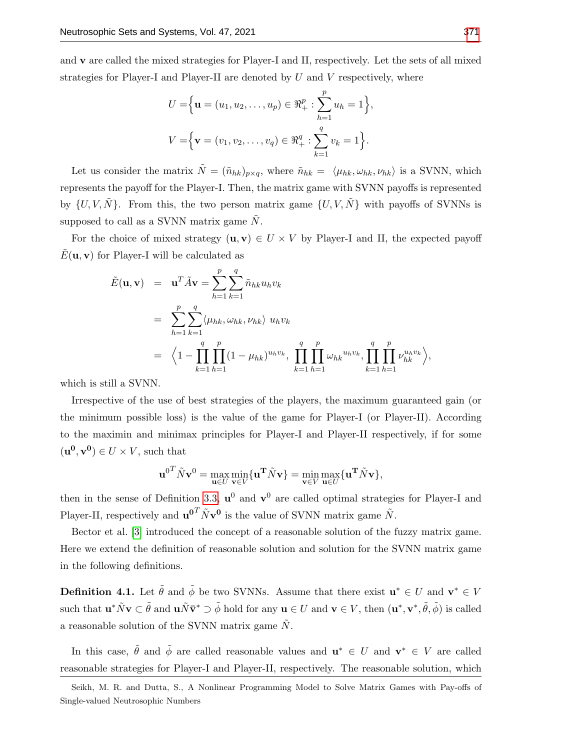and v are called the mixed strategies for Player-I and II, respectively. Let the sets of all mixed strategies for Player-I and Player-II are denoted by  $U$  and  $V$  respectively, where

$$
U = \Big\{ \mathbf{u} = (u_1, u_2, \dots, u_p) \in \mathbb{R}_+^p : \sum_{h=1}^p u_h = 1 \Big\},
$$
  

$$
V = \Big\{ \mathbf{v} = (v_1, v_2, \dots, v_q) \in \mathbb{R}_+^q : \sum_{k=1}^q v_k = 1 \Big\}.
$$

Let us consider the matrix  $\tilde{N} = (\tilde{n}_{hk})_{p \times q}$ , where  $\tilde{n}_{hk} = \langle \mu_{hk}, \omega_{hk}, \nu_{hk} \rangle$  is a SVNN, which represents the payoff for the Player-I. Then, the matrix game with SVNN payoffs is represented by  $\{U, V, \tilde{N}\}$ . From this, the two person matrix game  $\{U, V, \tilde{N}\}$  with payoffs of SVNNs is supposed to call as a SVNN matrix game  $N$ .

For the choice of mixed strategy  $(\mathbf{u}, \mathbf{v}) \in U \times V$  by Player-I and II, the expected payoff  $E(\mathbf{u}, \mathbf{v})$  for Player-I will be calculated as

$$
\tilde{E}(\mathbf{u}, \mathbf{v}) = \mathbf{u}^T \tilde{A} \mathbf{v} = \sum_{h=1}^p \sum_{k=1}^q \tilde{n}_{hk} u_h v_k
$$
\n
$$
= \sum_{h=1}^p \sum_{k=1}^q \langle \mu_{hk}, \omega_{hk}, \nu_{hk} \rangle u_h v_k
$$
\n
$$
= \langle 1 - \prod_{k=1}^q \prod_{h=1}^p (1 - \mu_{hk})^{u_h v_k}, \prod_{k=1}^q \prod_{h=1}^p \omega_{hk}^{u_h v_k}, \prod_{k=1}^q \prod_{h=1}^p \nu_{hk}^{u_h v_k} \rangle,
$$

which is still a SVNN.

Irrespective of the use of best strategies of the players, the maximum guaranteed gain (or the minimum possible loss) is the value of the game for Player-I (or Player-II). According to the maximin and minimax principles for Player-I and Player-II respectively, if for some  $(\mathbf{u}^0, \mathbf{v}^0) \in U \times V$ , such that

$$
\mathbf{u}^{0T} \tilde{N} \mathbf{v}^0 = \max_{\mathbf{u} \in U} \min_{\mathbf{v} \in V} \{ \mathbf{u}^{\mathbf{T}} \tilde{N} \mathbf{v} \} = \min_{\mathbf{v} \in V} \max_{\mathbf{u} \in U} \{ \mathbf{u}^{\mathbf{T}} \tilde{N} \mathbf{v} \},
$$

then in the sense of Definition [3.3,](#page-4-0)  $\mathbf{u}^0$  and  $\mathbf{v}^0$  are called optimal strategies for Player-I and Player-II, respectively and  $\mathbf{u}^{0}^T \tilde{N} \mathbf{v}^0$  is the value of SVNN matrix game  $\tilde{N}$ .

Bector et al. [\[3\]](#page-16-2) introduced the concept of a reasonable solution of the fuzzy matrix game. Here we extend the definition of reasonable solution and solution for the SVNN matrix game in the following definitions.

**Definition 4.1.** Let  $\tilde{\theta}$  and  $\tilde{\phi}$  be two SVNNs. Assume that there exist  $\mathbf{u}^* \in U$  and  $\mathbf{v}^* \in V$ such that  $\mathbf{u}^*\tilde{N}\mathbf{v} \subset \tilde{\theta}$  and  $\mathbf{u}\tilde{N}\bar{\mathbf{v}}^* \supset \tilde{\phi}$  hold for any  $\mathbf{u} \in U$  and  $\mathbf{v} \in V$ , then  $(\mathbf{u}^*, \mathbf{v}^*, \tilde{\theta}, \tilde{\phi})$  is called a reasonable solution of the SVNN matrix game  $N$ .

In this case,  $\tilde{\theta}$  and  $\tilde{\phi}$  are called reasonable values and  $\mathbf{u}^* \in U$  and  $\mathbf{v}^* \in V$  are called reasonable strategies for Player-I and Player-II, respectively. The reasonable solution, which

Seikh, M. R. and Dutta, S., A Nonlinear Programming Model to Solve Matrix Games with Pay-offs of Single-valued Neutrosophic Numbers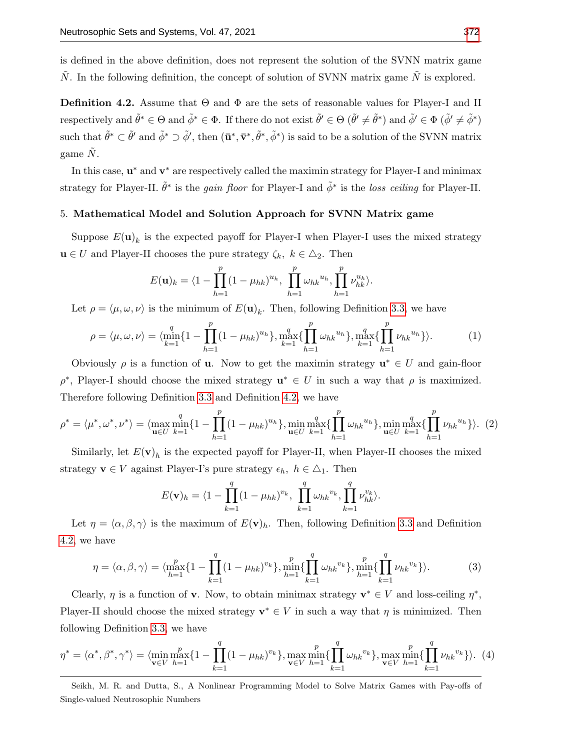is defined in the above definition, does not represent the solution of the SVNN matrix game  $N$ . In the following definition, the concept of solution of SVNN matrix game  $N$  is explored.

<span id="page-6-0"></span>**Definition 4.2.** Assume that  $\Theta$  and  $\Phi$  are the sets of reasonable values for Player-I and II respectively and  $\tilde{\theta}^* \in \Theta$  and  $\tilde{\phi}^* \in \Phi$ . If there do not exist  $\tilde{\theta}' \in \Theta$   $(\tilde{\theta}' \neq \tilde{\theta}^*)$  and  $\tilde{\phi}' \in \Phi$   $(\tilde{\phi}' \neq \tilde{\phi}^*)$ such that  $\tilde{\theta}^* \subset \tilde{\theta}'$  and  $\tilde{\phi}^* \supset \tilde{\phi}'$ , then  $(\bar{\mathbf{u}}^*, \bar{\mathbf{v}}^*, \tilde{\theta}^*, \tilde{\phi}^*)$  is said to be a solution of the SVNN matrix game  $\tilde{N}$ .

In this case,  $\mathbf{u}^*$  and  $\mathbf{v}^*$  are respectively called the maximin strategy for Player-I and minimax strategy for Player-II.  $\tilde{\theta}^*$  is the *gain floor* for Player-I and  $\tilde{\phi}^*$  is the *loss ceiling* for Player-II.

# 5. Mathematical Model and Solution Approach for SVNN Matrix game

Suppose  $E(\mathbf{u})_k$  is the expected payoff for Player-I when Player-I uses the mixed strategy  $\mathbf{u} \in U$  and Player-II chooses the pure strategy  $\zeta_k, k \in \Delta_2$ . Then

<span id="page-6-1"></span>
$$
E(\mathbf{u})_k = \langle 1 - \prod_{h=1}^p (1 - \mu_{hk})^{u_h}, \prod_{h=1}^p \omega_{hk}^{u_h}, \prod_{h=1}^p \nu_{hk}^{u_h} \rangle.
$$

Let  $\rho = \langle \mu, \omega, \nu \rangle$  is the minimum of  $E(\mathbf{u})_k$ . Then, following Definition [3.3,](#page-4-0) we have

$$
\rho = \langle \mu, \omega, \nu \rangle = \langle \min_{k=1}^{q} \{ 1 - \prod_{h=1}^{p} (1 - \mu_{hk})^{u_h} \}, \max_{k=1}^{q} \{ \prod_{h=1}^{p} \omega_{hk}^{u_h} \}, \max_{k=1}^{q} \{ \prod_{h=1}^{p} \nu_{hk}^{u_h} \} \rangle. \tag{1}
$$

Obviously  $\rho$  is a function of **u**. Now to get the maximin strategy  $\mathbf{u}^* \in U$  and gain-floor  $\rho^*$ , Player-I should choose the mixed strategy  $\mathbf{u}^* \in U$  in such a way that  $\rho$  is maximized. Therefore following Definition [3.3](#page-4-0) and Definition [4.2,](#page-6-0) we have

<span id="page-6-2"></span>
$$
\rho^* = \langle \mu^*, \omega^*, \nu^* \rangle = \langle \max_{\mathbf{u} \in U} \min_{k=1}^q \{ 1 - \prod_{h=1}^p (1 - \mu_{hk})^{u_h} \}, \min_{\mathbf{u} \in U} \max_{k=1}^q \{ \prod_{h=1}^p \omega_{hk}^{u_h} \}, \min_{\mathbf{u} \in U} \max_{k=1}^q \{ \prod_{h=1}^p \nu_{hk}^{u_h} \} \rangle. \tag{2}
$$

Similarly, let  $E(\mathbf{v})_h$  is the expected payoff for Player-II, when Player-II chooses the mixed strategy  $\mathbf{v} \in V$  against Player-I's pure strategy  $\epsilon_h$ ,  $h \in \Delta_1$ . Then

$$
E(\mathbf{v})_h = \langle 1 - \prod_{k=1}^q (1 - \mu_{hk})^{v_k}, \prod_{k=1}^q \omega_{hk}^{v_k}, \prod_{k=1}^q \nu_{hk}^{v_k} \rangle.
$$

Let  $\eta = \langle \alpha, \beta, \gamma \rangle$  is the maximum of  $E(\mathbf{v})_h$ . Then, following Definition [3.3](#page-4-0) and Definition [4.2,](#page-6-0) we have

<span id="page-6-3"></span>
$$
\eta = \langle \alpha, \beta, \gamma \rangle = \langle \max_{h=1}^{p} \{ 1 - \prod_{k=1}^{q} (1 - \mu_{hk})^{v_k} \}, \min_{h=1}^{p} \{ \prod_{k=1}^{q} \omega_{hk}^{v_k} \}, \min_{h=1}^{p} \{ \prod_{k=1}^{q} \nu_{hk}^{v_k} \} \rangle. \tag{3}
$$

Clearly,  $\eta$  is a function of **v**. Now, to obtain minimax strategy  $\mathbf{v}^* \in V$  and loss-ceiling  $\eta^*$ , Player-II should choose the mixed strategy  $\mathbf{v}^* \in V$  in such a way that  $\eta$  is minimized. Then following Definition [3.3,](#page-4-0) we have

<span id="page-6-4"></span>
$$
\eta^* = \langle \alpha^*, \beta^*, \gamma^* \rangle = \langle \min_{\mathbf{v} \in V} \max_{h=1}^p \{ 1 - \prod_{k=1}^q (1 - \mu_{hk})^{v_k} \}, \max_{\mathbf{v} \in V} \min_{h=1}^p \{ \prod_{k=1}^q \omega_{hk}^{v_k} \}, \max_{\mathbf{v} \in V} \min_{h=1}^p \{ \prod_{k=1}^p \nu_{hk}^{v_k} \} \rangle. \tag{4}
$$

Seikh, M. R. and Dutta, S., A Nonlinear Programming Model to Solve Matrix Games with Pay-offs of Single-valued Neutrosophic Numbers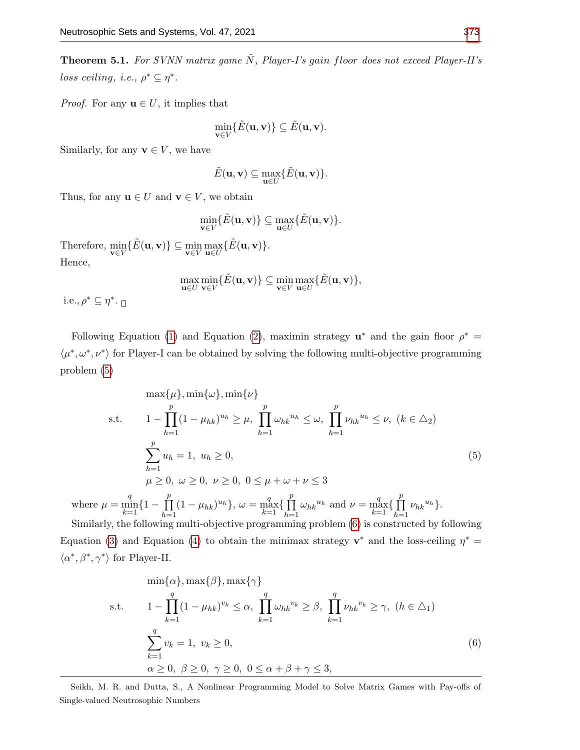<span id="page-7-2"></span>**Theorem 5.1.** For SVNN matrix game  $\tilde{N}$ , Player-I's gain floor does not exceed Player-II's loss ceiling, i.e.,  $\rho^* \subseteq \eta^*$ .

*Proof.* For any  $\mathbf{u} \in U$ , it implies that

$$
\min_{\mathbf{v}\in V}\{\tilde{E}(\mathbf{u},\mathbf{v})\}\subseteq \tilde{E}(\mathbf{u},\mathbf{v}).
$$

Similarly, for any  $\mathbf{v} \in V$ , we have

$$
\tilde{E}(\mathbf{u},\mathbf{v}) \subseteq \max_{\mathbf{u}\in U} \{\tilde{E}(\mathbf{u},\mathbf{v})\}.
$$

Thus, for any  $\mathbf{u} \in U$  and  $\mathbf{v} \in V$ , we obtain

$$
\min_{\mathbf{v}\in V}\{\tilde{E}(\mathbf{u},\mathbf{v})\}\subseteq \max_{\mathbf{u}\in U}\{\tilde{E}(\mathbf{u},\mathbf{v})\}.
$$

Therefore,  $\min_{\mathbf{v}\in V} \{\tilde{E}(\mathbf{u}, \mathbf{v})\} \subseteq \min_{\mathbf{v}\in V} \max_{\mathbf{u}\in U} \{\tilde{E}(\mathbf{u}, \mathbf{v})\}.$ Hence,

$$
\max_{\mathbf{u}\in U}\min_{\mathbf{v}\in V}\{\tilde{E}(\mathbf{u},\mathbf{v})\}\subseteq \min_{\mathbf{v}\in V}\max_{\mathbf{u}\in U}\{\tilde{E}(\mathbf{u},\mathbf{v})\},\
$$

i.e.,  $\rho^* \subseteq \eta^*$ .

Following Equation [\(1\)](#page-6-1) and Equation [\(2\)](#page-6-2), maximin strategy  $\mathbf{u}^*$  and the gain floor  $\rho^* =$  $\langle \mu^*, \omega^*, \nu^* \rangle$  for Player-I can be obtained by solving the following multi-objective programming problem [\(5\)](#page-7-0)

<span id="page-7-0"></span>
$$
\max{\mu}, \min{\omega}, \min{\nu}
$$
  
s.t. 
$$
1 - \prod_{h=1}^{p} (1 - \mu_{hk})^{u_h} \ge \mu, \prod_{h=1}^{p} \omega_{hk}^{u_h} \le \omega, \prod_{h=1}^{p} \nu_{hk}^{u_h} \le \nu, (k \in \Delta_2)
$$

$$
\sum_{h=1}^{p} u_h = 1, u_h \ge 0,
$$

$$
\mu \ge 0, \omega \ge 0, \nu \ge 0, 0 \le \mu + \omega + \nu \le 3
$$
  
where  $\mu = \min_{h \in \Delta_1} \{1 - \prod_{h \in \Delta_2} (1 - \mu_{hk})^{u_h}\}, \omega = \max_{h \in \Delta_1} \{\prod_{h \in \Delta_2}^{p} \omega_{hk}^{u_h} \text{ and } \nu = \max_{h \in \Delta_2} \{\prod_{h \in \Delta_2}^{p} \nu_{hk}^{u_h}\}.$  (5)

 $k=1$  $\bar{h=1}$  $k=1$   $\sum_{h=1}$  $k=1$   $\sum_{h=1}$ Similarly, the following multi-objective programming problem [\(6\)](#page-7-1) is constructed by following Equation [\(3\)](#page-6-3) and Equation [\(4\)](#page-6-4) to obtain the minimax strategy  $\mathbf{v}^*$  and the loss-ceiling  $\eta^* =$  $\langle \alpha^*, \beta^*, \gamma^* \rangle$  for Player-II.

<span id="page-7-1"></span>
$$
\min{\alpha}, \max{\beta}, \max{\gamma}
$$
\n
$$
1 - \prod_{k=1}^{q} (1 - \mu_{hk})^{v_k} \le \alpha, \prod_{k=1}^{q} \omega_{hk}^{v_k} \ge \beta, \prod_{k=1}^{q} \nu_{hk}^{v_k} \ge \gamma, (h \in \Delta_1)
$$
\n
$$
\sum_{k=1}^{q} v_k = 1, v_k \ge 0,
$$
\n
$$
\alpha \ge 0, \beta \ge 0, \gamma \ge 0, 0 \le \alpha + \beta + \gamma \le 3,
$$
\n(6)

Seikh, M. R. and Dutta, S., A Nonlinear Programming Model to Solve Matrix Games with Pay-offs of Single-valued Neutrosophic Numbers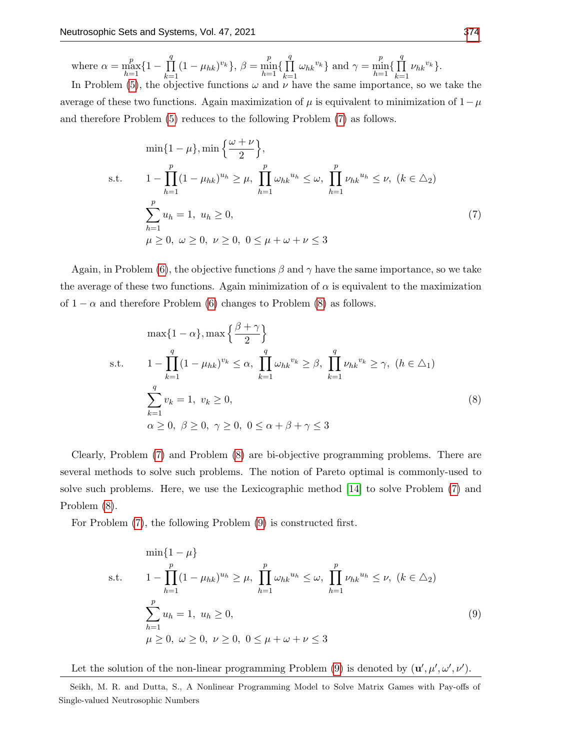where 
$$
\alpha = \max_{h=1}^{p} \{1 - \prod_{k=1}^{q} (1 - \mu_{hk})^{v_k}\}, \ \beta = \min_{h=1}^{p} \{\prod_{k=1}^{q} \omega_{hk}^{v_k}\}
$$
 and  $\gamma = \min_{h=1}^{p} \{\prod_{k=1}^{q} \nu_{hk}^{v_k}\}.$   
In Problem (5) the objective functions (1 and y have the same importance, so we

In Problem [\(5\)](#page-7-0), the objective functions  $\omega$  and  $\nu$  have the same importance, so we take the average of these two functions. Again maximization of  $\mu$  is equivalent to minimization of  $1-\mu$ and therefore Problem [\(5\)](#page-7-0) reduces to the following Problem [\(7\)](#page-8-0) as follows.

<span id="page-8-0"></span>
$$
\min\{1 - \mu\}, \min\left\{\frac{\omega + \nu}{2}\right\},\
$$
  
s.t. 
$$
1 - \prod_{h=1}^{p} (1 - \mu_{hk})^{u_h} \ge \mu, \prod_{h=1}^{p} \omega_{hk}^{u_h} \le \omega, \prod_{h=1}^{p} \nu_{hk}^{u_h} \le \nu, (k \in \Delta_2)
$$

$$
\sum_{h=1}^{p} u_h = 1, u_h \ge 0,
$$

$$
\mu \ge 0, \ \omega \ge 0, \ \nu \ge 0, \ 0 \le \mu + \omega + \nu \le 3
$$

$$
(7)
$$

Again, in Problem [\(6\)](#page-7-1), the objective functions  $\beta$  and  $\gamma$  have the same importance, so we take the average of these two functions. Again minimization of  $\alpha$  is equivalent to the maximization of  $1 - \alpha$  and therefore Problem [\(6\)](#page-7-1) changes to Problem [\(8\)](#page-8-1) as follows.

<span id="page-8-1"></span>
$$
\max\{1-\alpha\}, \max\left\{\frac{\beta+\gamma}{2}\right\}
$$
\n
$$
\text{s.t.} \qquad 1 - \prod_{k=1}^{q} (1 - \mu_{hk})^{v_k} \le \alpha, \prod_{k=1}^{q} \omega_{hk}^{v_k} \ge \beta, \prod_{k=1}^{q} \nu_{hk}^{v_k} \ge \gamma, \ (h \in \Delta_1)
$$
\n
$$
\sum_{k=1}^{q} v_k = 1, \ v_k \ge 0,
$$
\n
$$
\alpha \ge 0, \ \beta \ge 0, \ \gamma \ge 0, \ 0 \le \alpha + \beta + \gamma \le 3
$$
\n
$$
(8)
$$

Clearly, Problem [\(7\)](#page-8-0) and Problem [\(8\)](#page-8-1) are bi-objective programming problems. There are several methods to solve such problems. The notion of Pareto optimal is commonly-used to solve such problems. Here, we use the Lexicographic method [\[14\]](#page-16-16) to solve Problem [\(7\)](#page-8-0) and Problem [\(8\)](#page-8-1).

For Problem [\(7\)](#page-8-0), the following Problem [\(9\)](#page-8-2) is constructed first.

<span id="page-8-2"></span>
$$
\min\{1-\mu\}
$$
\n
$$
\text{s.t.} \qquad 1 - \prod_{h=1}^{p} (1 - \mu_{hk})^{u_h} \ge \mu, \ \prod_{h=1}^{p} \omega_{hk}^{u_h} \le \omega, \ \prod_{h=1}^{p} \nu_{hk}^{u_h} \le \nu, \ (k \in \Delta_2)
$$
\n
$$
\sum_{h=1}^{p} u_h = 1, \ u_h \ge 0,
$$
\n
$$
\mu \ge 0, \ \omega \ge 0, \ \nu \ge 0, \ 0 \le \mu + \omega + \nu \le 3
$$
\n
$$
(9)
$$

Let the solution of the non-linear programming Problem [\(9\)](#page-8-2) is denoted by  $(\mathbf{u}', \mu', \omega', \nu')$ .

Seikh, M. R. and Dutta, S., A Nonlinear Programming Model to Solve Matrix Games with Pay-offs of Single-valued Neutrosophic Numbers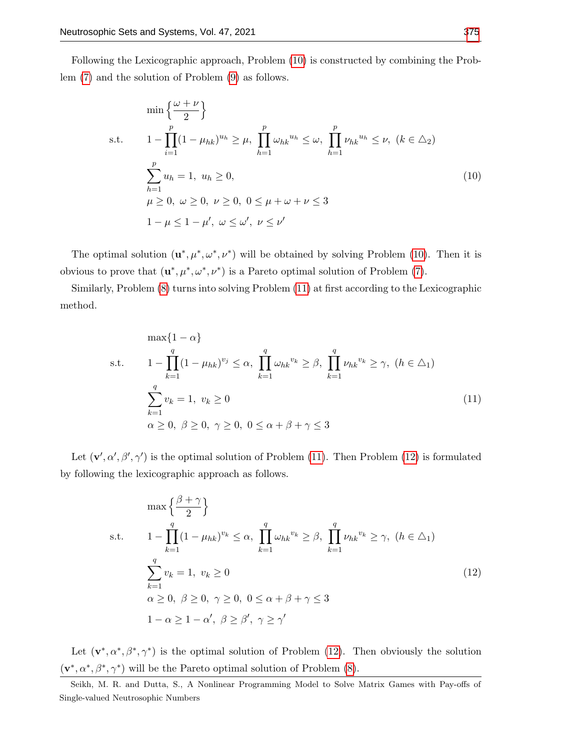Following the Lexicographic approach, Problem [\(10\)](#page-9-0) is constructed by combining the Problem [\(7\)](#page-8-0) and the solution of Problem [\(9\)](#page-8-2) as follows.

<span id="page-9-0"></span>
$$
\min\left\{\frac{\omega+\nu}{2}\right\}
$$
\n
$$
\text{s.t.} \qquad 1 - \prod_{i=1}^{p} (1 - \mu_{hk})^{u_h} \ge \mu, \quad \prod_{h=1}^{p} \omega_{hk}^{u_h} \le \omega, \quad \prod_{h=1}^{p} \nu_{hk}^{u_h} \le \nu, \quad (k \in \Delta_2)
$$
\n
$$
\sum_{h=1}^{p} u_h = 1, \quad u_h \ge 0,
$$
\n
$$
\mu \ge 0, \quad \omega \ge 0, \quad \nu \ge 0, \quad 0 \le \mu + \omega + \nu \le 3
$$
\n
$$
1 - \mu \le 1 - \mu', \quad \omega \le \omega', \quad \nu \le \nu'
$$
\n(10)

The optimal solution  $(\mathbf{u}^*, \mu^*, \omega^*, \nu^*)$  will be obtained by solving Problem [\(10\)](#page-9-0). Then it is obvious to prove that  $(\mathbf{u}^*, \mu^*, \omega^*, \nu^*)$  is a Pareto optimal solution of Problem [\(7\)](#page-8-0).

Similarly, Problem [\(8\)](#page-8-1) turns into solving Problem [\(11\)](#page-9-1) at first according to the Lexicographic method.

<span id="page-9-1"></span>
$$
\max\{1-\alpha\}
$$
\n
$$
\text{s.t.} \qquad 1 - \prod_{k=1}^{q} (1 - \mu_{hk})^{v_j} \le \alpha, \ \prod_{k=1}^{q} \omega_{hk}^{v_k} \ge \beta, \ \prod_{k=1}^{q} \nu_{hk}^{v_k} \ge \gamma, \ (h \in \Delta_1)
$$
\n
$$
\sum_{k=1}^{q} v_k = 1, \ v_k \ge 0
$$
\n
$$
\alpha \ge 0, \ \beta \ge 0, \ \gamma \ge 0, \ 0 \le \alpha + \beta + \gamma \le 3
$$
\n
$$
(11)
$$

Let  $(\mathbf{v}', \alpha', \beta', \gamma')$  is the optimal solution of Problem [\(11\)](#page-9-1). Then Problem [\(12\)](#page-9-2) is formulated by following the lexicographic approach as follows.

<span id="page-9-2"></span>
$$
\max\left\{\frac{\beta+\gamma}{2}\right\}
$$
\n
$$
\text{s.t.} \qquad 1 - \prod_{k=1}^{q} (1 - \mu_{hk})^{v_k} \le \alpha, \ \prod_{k=1}^{q} \omega_{hk}^{v_k} \ge \beta, \ \prod_{k=1}^{q} \nu_{hk}^{v_k} \ge \gamma, \ (h \in \Delta_1)
$$
\n
$$
\sum_{k=1}^{q} v_k = 1, \ v_k \ge 0
$$
\n
$$
\alpha \ge 0, \ \beta \ge 0, \ \gamma \ge 0, \ 0 \le \alpha + \beta + \gamma \le 3
$$
\n
$$
1 - \alpha \ge 1 - \alpha', \ \beta \ge \beta', \ \gamma \ge \gamma'
$$
\n
$$
(12)
$$

Let  $(\mathbf{v}^*, \alpha^*, \beta^*, \gamma^*)$  is the optimal solution of Problem [\(12\)](#page-9-2). Then obviously the solution  $(\mathbf{v}^*, \alpha^*, \beta^*, \gamma^*)$  will be the Pareto optimal solution of Problem [\(8\)](#page-8-1).

Seikh, M. R. and Dutta, S., A Nonlinear Programming Model to Solve Matrix Games with Pay-offs of Single-valued Neutrosophic Numbers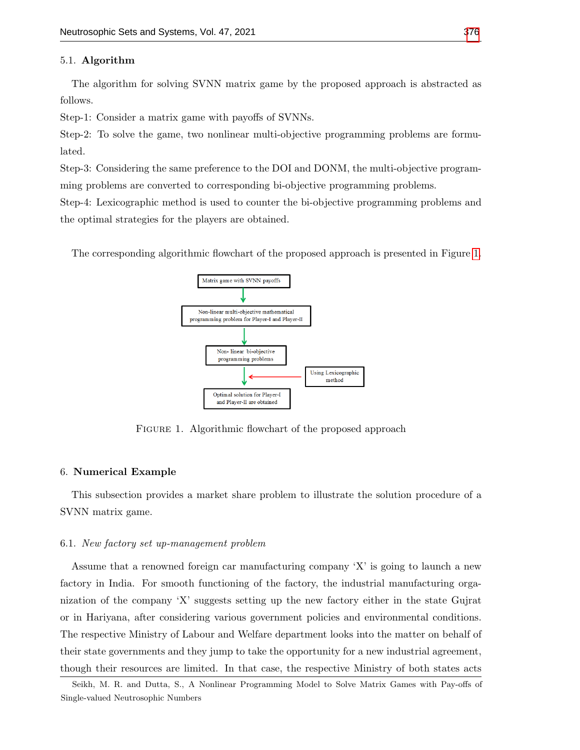### 5.1. Algorithm

The algorithm for solving SVNN matrix game by the proposed approach is abstracted as follows.

Step-1: Consider a matrix game with payoffs of SVNNs.

Step-2: To solve the game, two nonlinear multi-objective programming problems are formulated.

Step-3: Considering the same preference to the DOI and DONM, the multi-objective programming problems are converted to corresponding bi-objective programming problems.

Step-4: Lexicographic method is used to counter the bi-objective programming problems and the optimal strategies for the players are obtained.

<span id="page-10-0"></span>The corresponding algorithmic flowchart of the proposed approach is presented in Figure [1.](#page-10-0)



FIGURE 1. Algorithmic flowchart of the proposed approach

#### 6. Numerical Example

This subsection provides a market share problem to illustrate the solution procedure of a SVNN matrix game.

#### 6.1. New factory set up-management problem

Assume that a renowned foreign car manufacturing company 'X' is going to launch a new factory in India. For smooth functioning of the factory, the industrial manufacturing organization of the company 'X' suggests setting up the new factory either in the state Gujrat or in Hariyana, after considering various government policies and environmental conditions. The respective Ministry of Labour and Welfare department looks into the matter on behalf of their state governments and they jump to take the opportunity for a new industrial agreement, though their resources are limited. In that case, the respective Ministry of both states acts

Seikh, M. R. and Dutta, S., A Nonlinear Programming Model to Solve Matrix Games with Pay-offs of Single-valued Neutrosophic Numbers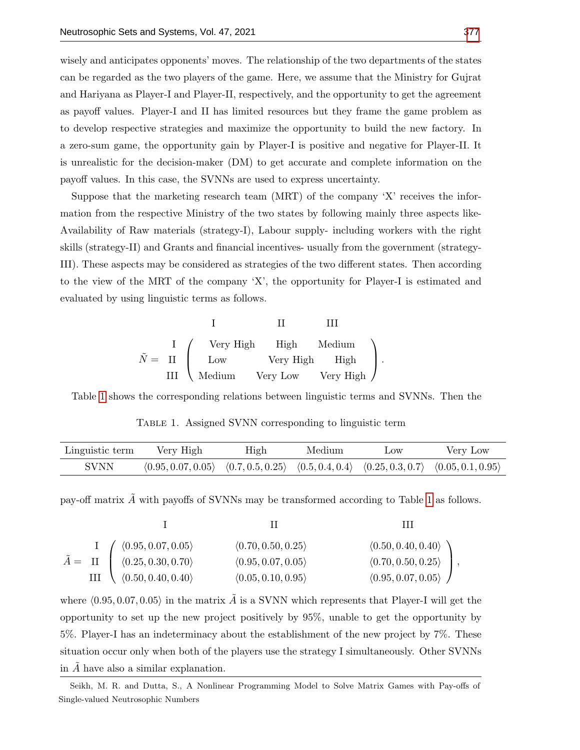wisely and anticipates opponents' moves. The relationship of the two departments of the states can be regarded as the two players of the game. Here, we assume that the Ministry for Gujrat and Hariyana as Player-I and Player-II, respectively, and the opportunity to get the agreement as payoff values. Player-I and II has limited resources but they frame the game problem as to develop respective strategies and maximize the opportunity to build the new factory. In a zero-sum game, the opportunity gain by Player-I is positive and negative for Player-II. It is unrealistic for the decision-maker (DM) to get accurate and complete information on the payoff values. In this case, the SVNNs are used to express uncertainty.

Suppose that the marketing research team (MRT) of the company 'X' receives the information from the respective Ministry of the two states by following mainly three aspects like-Availability of Raw materials (strategy-I), Labour supply- including workers with the right skills (strategy-II) and Grants and financial incentives- usually from the government (strategy-III). These aspects may be considered as strategies of the two different states. Then according to the view of the MRT of the company 'X', the opportunity for Player-I is estimated and evaluated by using linguistic terms as follows.

<span id="page-11-1"></span>
$$
\tilde{N} = \begin{array}{c|cc}\n & \text{I} & \text{II} & \text{III} \\
\downarrow \text{Very High} & \text{High} & \text{Median} \\
\downarrow \text{Low} & \text{Very High} & \text{High} \\
\text{III} & \text{Median} & \text{Very Low} & \text{Very High}\n\end{array}
$$

<span id="page-11-0"></span>Table [1](#page-11-0) shows the corresponding relations between linguistic terms and SVNNs. Then the

Table 1. Assigned SVNN corresponding to linguistic term

| Linguistic term | Very High                                                                                        | High | Medium | $_{\text{Low}}$ | Very Low |
|-----------------|--------------------------------------------------------------------------------------------------|------|--------|-----------------|----------|
| <b>SVNN</b>     | $(0.95, 0.07, 0.05)$ $(0.7, 0.5, 0.25)$ $(0.5, 0.4, 0.4)$ $(0.25, 0.3, 0.7)$ $(0.05, 0.1, 0.95)$ |      |        |                 |          |

pay-off matrix  $\tilde{A}$  with payoffs of SVNNs may be transformed according to Table [1](#page-11-0) as follows.

$$
\tilde{A} = \Pi \begin{pmatrix}\n\langle 0.95, 0.07, 0.05 \rangle & \langle 0.70, 0.50, 0.25 \rangle & \langle 0.50, 0.40, 0.40 \rangle \\
\langle 0.25, 0.30, 0.70 \rangle & \langle 0.95, 0.07, 0.05 \rangle & \langle 0.70, 0.50, 0.25 \rangle \\
\langle 0.50, 0.40, 0.40 \rangle & \langle 0.05, 0.10, 0.95 \rangle & \langle 0.95, 0.07, 0.05 \rangle\n\end{pmatrix},
$$

where  $\langle 0.95, 0.07, 0.05 \rangle$  in the matrix  $\tilde{A}$  is a SVNN which represents that Player-I will get the opportunity to set up the new project positively by 95%, unable to get the opportunity by 5%. Player-I has an indeterminacy about the establishment of the new project by 7%. These situation occur only when both of the players use the strategy I simultaneously. Other SVNNs in  $\ddot{A}$  have also a similar explanation.

Seikh, M. R. and Dutta, S., A Nonlinear Programming Model to Solve Matrix Games with Pay-offs of Single-valued Neutrosophic Numbers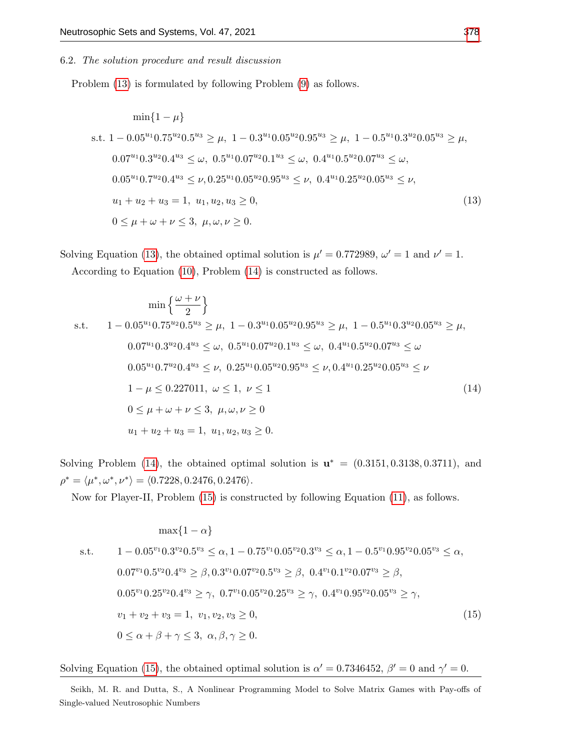#### 6.2. The solution procedure and result discussion

Problem [\(13\)](#page-11-1) is formulated by following Problem [\(9\)](#page-8-2) as follows.

$$
\min\{1-\mu\}
$$
  
s.t.  $1-0.05^{u_1}0.75^{u_2}0.5^{u_3} \ge \mu$ ,  $1-0.3^{u_1}0.05^{u_2}0.95^{u_3} \ge \mu$ ,  $1-0.5^{u_1}0.3^{u_2}0.05^{u_3} \ge \mu$ ,  
 $0.07^{u_1}0.3^{u_2}0.4^{u_3} \le \omega$ ,  $0.5^{u_1}0.07^{u_2}0.1^{u_3} \le \omega$ ,  $0.4^{u_1}0.5^{u_2}0.07^{u_3} \le \omega$ ,  
 $0.05^{u_1}0.7^{u_2}0.4^{u_3} \le \nu$ ,  $0.25^{u_1}0.05^{u_2}0.95^{u_3} \le \nu$ ,  $0.4^{u_1}0.25^{u_2}0.05^{u_3} \le \nu$ ,  
 $u_1 + u_2 + u_3 = 1$ ,  $u_1, u_2, u_3 \ge 0$ ,  
 $0 \le \mu + \omega + \nu \le 3$ ,  $\mu, \omega, \nu \ge 0$ .  
(13)

Solving Equation [\(13\)](#page-11-1), the obtained optimal solution is  $\mu' = 0.772989$ ,  $\omega' = 1$  and  $\nu' = 1$ . According to Equation [\(10\)](#page-9-0), Problem [\(14\)](#page-12-0) is constructed as follows.

<span id="page-12-0"></span>
$$
\min\left\{\frac{\omega+\nu}{2}\right\}
$$
  
s.t.  $1-0.05^{u_1}0.75^{u_2}0.5^{u_3} \ge \mu, 1-0.3^{u_1}0.05^{u_2}0.95^{u_3} \ge \mu, 1-0.5^{u_1}0.3^{u_2}0.05^{u_3} \ge \mu,$   
 $0.07^{u_1}0.3^{u_2}0.4^{u_3} \le \omega, 0.5^{u_1}0.07^{u_2}0.1^{u_3} \le \omega, 0.4^{u_1}0.5^{u_2}0.07^{u_3} \le \omega$   
 $0.05^{u_1}0.7^{u_2}0.4^{u_3} \le \nu, 0.25^{u_1}0.05^{u_2}0.95^{u_3} \le \nu, 0.4^{u_1}0.25^{u_2}0.05^{u_3} \le \nu$   
 $1-\mu \le 0.227011, \ \omega \le 1, \ \nu \le 1$   
 $0 \le \mu + \omega + \nu \le 3, \ \mu, \omega, \nu \ge 0$   
 $u_1 + u_2 + u_3 = 1, \ u_1, u_2, u_3 \ge 0.$  (14)

Solving Problem [\(14\)](#page-12-0), the obtained optimal solution is  $\mathbf{u}^* = (0.3151, 0.3138, 0.3711)$ , and  $\rho^* = \langle \mu^*, \omega^*, \nu^* \rangle = \langle 0.7228, 0.2476, 0.2476 \rangle.$ 

Now for Player-II, Problem [\(15\)](#page-12-1) is constructed by following Equation [\(11\)](#page-9-1), as follows.

<span id="page-12-1"></span>
$$
\max\{1-\alpha\}
$$
  
s.t.  $1-0.05^{v_1}0.3^{v_2}0.5^{v_3} \le \alpha, 1-0.75^{v_1}0.05^{v_2}0.3^{v_3} \le \alpha, 1-0.5^{v_1}0.95^{v_2}0.05^{v_3} \le \alpha,$   
 $0.07^{v_1}0.5^{v_2}0.4^{v_3} \ge \beta, 0.3^{v_1}0.07^{v_2}0.5^{v_3} \ge \beta, 0.4^{v_1}0.1^{v_2}0.07^{v_3} \ge \beta,$   
 $0.05^{v_1}0.25^{v_2}0.4^{v_3} \ge \gamma, 0.7^{v_1}0.05^{v_2}0.25^{v_3} \ge \gamma, 0.4^{v_1}0.95^{v_2}0.05^{v_3} \ge \gamma,$   
 $v_1 + v_2 + v_3 = 1, v_1, v_2, v_3 \ge 0,$   
 $0 \le \alpha + \beta + \gamma \le 3, \alpha, \beta, \gamma \ge 0.$  (15)

Solving Equation [\(15\)](#page-12-1), the obtained optimal solution is  $\alpha' = 0.7346452$ ,  $\beta' = 0$  and  $\gamma' = 0$ .

Seikh, M. R. and Dutta, S., A Nonlinear Programming Model to Solve Matrix Games with Pay-offs of Single-valued Neutrosophic Numbers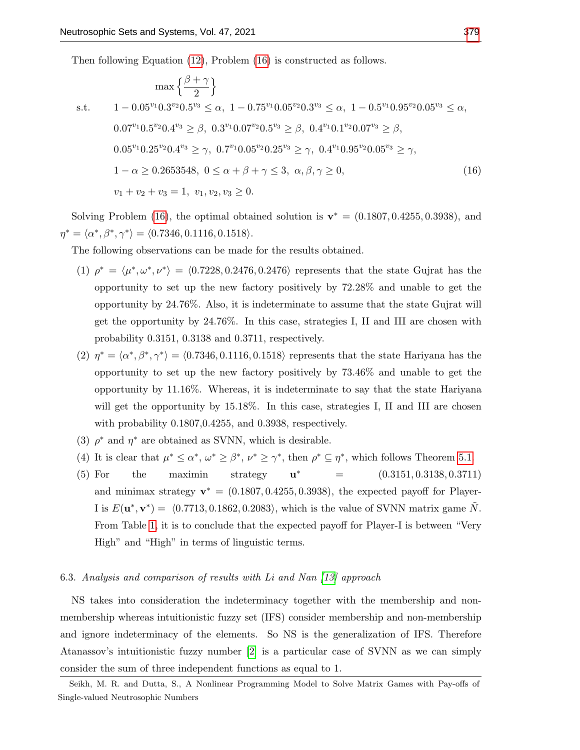Then following Equation [\(12\)](#page-9-2), Problem [\(16\)](#page-13-0) is constructed as follows.

<span id="page-13-0"></span>
$$
\max\left\{\frac{\beta+\gamma}{2}\right\}
$$
  
s.t.  $1-0.05^{v_1}0.3^{v_2}0.5^{v_3} \le \alpha, 1-0.75^{v_1}0.05^{v_2}0.3^{v_3} \le \alpha, 1-0.5^{v_1}0.95^{v_2}0.05^{v_3} \le \alpha,$   
 $0.07^{v_1}0.5^{v_2}0.4^{v_3} \ge \beta, 0.3^{v_1}0.07^{v_2}0.5^{v_3} \ge \beta, 0.4^{v_1}0.1^{v_2}0.07^{v_3} \ge \beta,$   
 $0.05^{v_1}0.25^{v_2}0.4^{v_3} \ge \gamma, 0.7^{v_1}0.05^{v_2}0.25^{v_3} \ge \gamma, 0.4^{v_1}0.95^{v_2}0.05^{v_3} \ge \gamma,$   
 $1-\alpha \ge 0.2653548, 0 \le \alpha + \beta + \gamma \le 3, \alpha, \beta, \gamma \ge 0,$   
 $v_1 + v_2 + v_3 = 1, v_1, v_2, v_3 \ge 0.$  (16)

Solving Problem [\(16\)](#page-13-0), the optimal obtained solution is  $\mathbf{v}^* = (0.1807, 0.4255, 0.3938)$ , and  $\eta^* = \langle \alpha^*, \beta^*, \gamma^* \rangle = \langle 0.7346, 0.1116, 0.1518 \rangle.$ 

The following observations can be made for the results obtained.

- (1)  $\rho^* = \langle \mu^*, \omega^*, \nu^* \rangle = \langle 0.7228, 0.2476, 0.2476 \rangle$  represents that the state Gujrat has the opportunity to set up the new factory positively by 72.28% and unable to get the opportunity by 24.76%. Also, it is indeterminate to assume that the state Gujrat will get the opportunity by 24.76%. In this case, strategies I, II and III are chosen with probability 0.3151, 0.3138 and 0.3711, respectively.
- (2)  $\eta^* = \langle \alpha^*, \beta^*, \gamma^* \rangle = \langle 0.7346, 0.1116, 0.1518 \rangle$  represents that the state Hariyana has the opportunity to set up the new factory positively by 73.46% and unable to get the opportunity by 11.16%. Whereas, it is indeterminate to say that the state Hariyana will get the opportunity by 15.18%. In this case, strategies I, II and III are chosen with probability 0.1807,0.4255, and 0.3938, respectively.
- (3)  $\rho^*$  and  $\eta^*$  are obtained as SVNN, which is desirable.
- (4) It is clear that  $\mu^* \leq \alpha^*, \omega^* \geq \beta^*, \nu^* \geq \gamma^*$ , then  $\rho^* \subseteq \eta^*$ , which follows Theorem [5.1.](#page-7-2)
- (5) For the maximin strategy  $\mathbf{u}^*$  $=$   $(0.3151, 0.3138, 0.3711)$ and minimax strategy  $\mathbf{v}^* = (0.1807, 0.4255, 0.3938)$ , the expected payoff for Player-I is  $E(\mathbf{u}^*, \mathbf{v}^*) = \langle 0.7713, 0.1862, 0.2083 \rangle$ , which is the value of SVNN matrix game  $\tilde{N}$ . From Table [1,](#page-11-0) it is to conclude that the expected payoff for Player-I is between "Very High" and "High" in terms of linguistic terms.

## 6.3. Analysis and comparison of results with Li and Nan [\[13\]](#page-16-18) approach

NS takes into consideration the indeterminacy together with the membership and nonmembership whereas intuitionistic fuzzy set (IFS) consider membership and non-membership and ignore indeterminacy of the elements. So NS is the generalization of IFS. Therefore Atanassov's intuitionistic fuzzy number [\[2\]](#page-16-7) is a particular case of SVNN as we can simply consider the sum of three independent functions as equal to 1.

Seikh, M. R. and Dutta, S., A Nonlinear Programming Model to Solve Matrix Games with Pay-offs of Single-valued Neutrosophic Numbers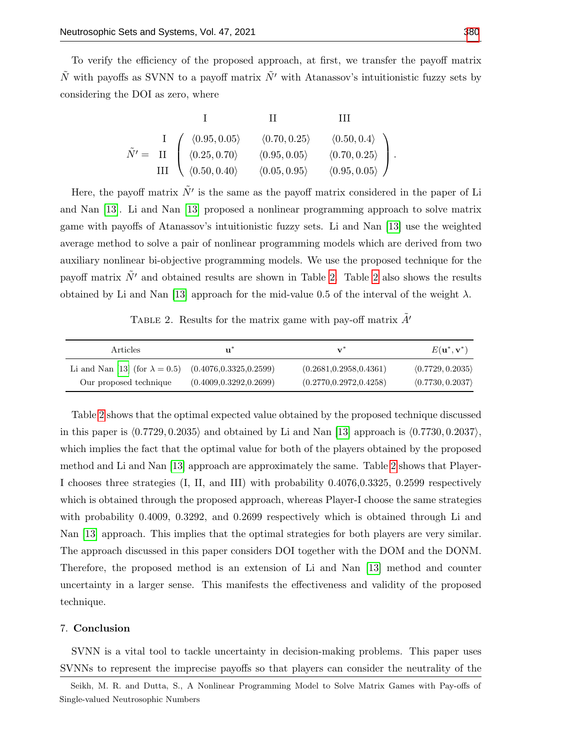To verify the efficiency of the proposed approach, at first, we transfer the payoff matrix  $\tilde{N}$  with payoffs as SVNN to a payoff matrix  $\tilde{N}'$  with Atanassov's intuitionistic fuzzy sets by considering the DOI as zero, where

$$
\tilde{N}' = \begin{array}{c c c c c} & \text{II} & \text{III} & \text{III} \\ \text{I} & \langle 0.95, 0.05 \rangle & \langle 0.70, 0.25 \rangle & \langle 0.50, 0.4 \rangle \\ \text{III} & \langle 0.25, 0.70 \rangle & \langle 0.95, 0.05 \rangle & \langle 0.70, 0.25 \rangle \\ \text{III} & \langle 0.50, 0.40 \rangle & \langle 0.05, 0.95 \rangle & \langle 0.95, 0.05 \rangle \end{array} \bigg). \label{eq:1}
$$

Here, the payoff matrix  $\tilde{N'}$  is the same as the payoff matrix considered in the paper of Li and Nan [\[13\]](#page-16-18). Li and Nan [\[13\]](#page-16-18) proposed a nonlinear programming approach to solve matrix game with payoffs of Atanassov's intuitionistic fuzzy sets. Li and Nan [\[13\]](#page-16-18) use the weighted average method to solve a pair of nonlinear programming models which are derived from two auxiliary nonlinear bi-objective programming models. We use the proposed technique for the payoff matrix  $\tilde{N}'$  and obtained results are shown in Table [2.](#page-14-0) Table [2](#page-14-0) also shows the results obtained by Li and Nan [\[13\]](#page-16-18) approach for the mid-value 0.5 of the interval of the weight  $\lambda$ .

TABLE 2. Results for the matrix game with pay-off matrix  $\tilde{A}$ '

<span id="page-14-0"></span>

| <i>Articles</i>                                               | u                        | $\mathbf{v}^*$           | $E(\mathbf{u}^*, \mathbf{v}^*)$ |
|---------------------------------------------------------------|--------------------------|--------------------------|---------------------------------|
| Li and Nan [13] (for $\lambda = 0.5$ ) (0.4076,0.3325,0.2599) |                          | (0.2681, 0.2958, 0.4361) | (0.7729, 0.2035)                |
| Our proposed technique                                        | (0.4009, 0.3292, 0.2699) | (0.2770, 0.2972, 0.4258) | (0.7730, 0.2037)                |

Table [2](#page-14-0) shows that the optimal expected value obtained by the proposed technique discussed in this paper is  $\langle 0.7729, 0.2035 \rangle$  and obtained by Li and Nan [\[13\]](#page-16-18) approach is  $\langle 0.7730, 0.2037 \rangle$ , which implies the fact that the optimal value for both of the players obtained by the proposed method and Li and Nan [\[13\]](#page-16-18) approach are approximately the same. Table [2](#page-14-0) shows that Player-I chooses three strategies (I, II, and III) with probability 0.4076,0.3325, 0.2599 respectively which is obtained through the proposed approach, whereas Player-I choose the same strategies with probability 0.4009, 0.3292, and 0.2699 respectively which is obtained through Li and Nan [\[13\]](#page-16-18) approach. This implies that the optimal strategies for both players are very similar. The approach discussed in this paper considers DOI together with the DOM and the DONM. Therefore, the proposed method is an extension of Li and Nan [\[13\]](#page-16-18) method and counter uncertainty in a larger sense. This manifests the effectiveness and validity of the proposed technique.

### 7. Conclusion

SVNN is a vital tool to tackle uncertainty in decision-making problems. This paper uses SVNNs to represent the imprecise payoffs so that players can consider the neutrality of the

Seikh, M. R. and Dutta, S., A Nonlinear Programming Model to Solve Matrix Games with Pay-offs of Single-valued Neutrosophic Numbers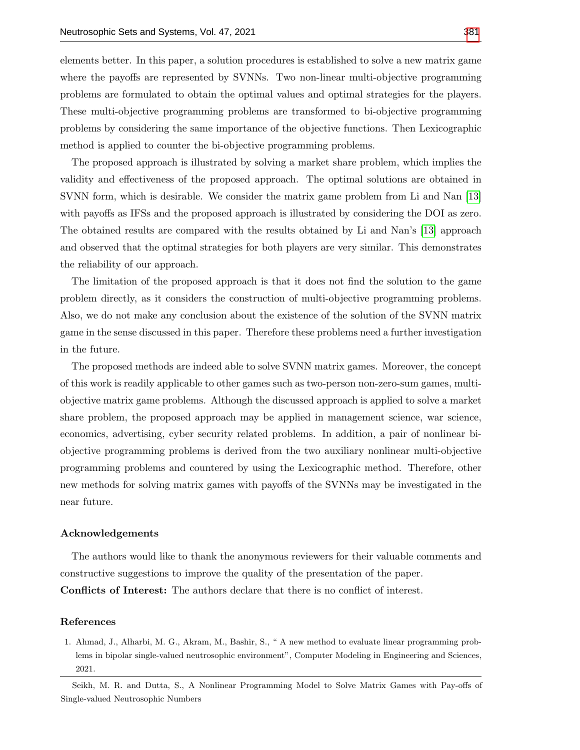elements better. In this paper, a solution procedures is established to solve a new matrix game where the payoffs are represented by SVNNs. Two non-linear multi-objective programming problems are formulated to obtain the optimal values and optimal strategies for the players. These multi-objective programming problems are transformed to bi-objective programming problems by considering the same importance of the objective functions. Then Lexicographic method is applied to counter the bi-objective programming problems.

The proposed approach is illustrated by solving a market share problem, which implies the validity and effectiveness of the proposed approach. The optimal solutions are obtained in SVNN form, which is desirable. We consider the matrix game problem from Li and Nan [\[13\]](#page-16-18) with payoffs as IFSs and the proposed approach is illustrated by considering the DOI as zero. The obtained results are compared with the results obtained by Li and Nan's [\[13\]](#page-16-18) approach and observed that the optimal strategies for both players are very similar. This demonstrates the reliability of our approach.

The limitation of the proposed approach is that it does not find the solution to the game problem directly, as it considers the construction of multi-objective programming problems. Also, we do not make any conclusion about the existence of the solution of the SVNN matrix game in the sense discussed in this paper. Therefore these problems need a further investigation in the future.

The proposed methods are indeed able to solve SVNN matrix games. Moreover, the concept of this work is readily applicable to other games such as two-person non-zero-sum games, multiobjective matrix game problems. Although the discussed approach is applied to solve a market share problem, the proposed approach may be applied in management science, war science, economics, advertising, cyber security related problems. In addition, a pair of nonlinear biobjective programming problems is derived from the two auxiliary nonlinear multi-objective programming problems and countered by using the Lexicographic method. Therefore, other new methods for solving matrix games with payoffs of the SVNNs may be investigated in the near future.

## Acknowledgements

The authors would like to thank the anonymous reviewers for their valuable comments and constructive suggestions to improve the quality of the presentation of the paper.

Conflicts of Interest: The authors declare that there is no conflict of interest.

#### References

<span id="page-15-0"></span>1. Ahmad, J., Alharbi, M. G., Akram, M., Bashir, S., " A new method to evaluate linear programming problems in bipolar single-valued neutrosophic environment", Computer Modeling in Engineering and Sciences, 2021.

Seikh, M. R. and Dutta, S., A Nonlinear Programming Model to Solve Matrix Games with Pay-offs of Single-valued Neutrosophic Numbers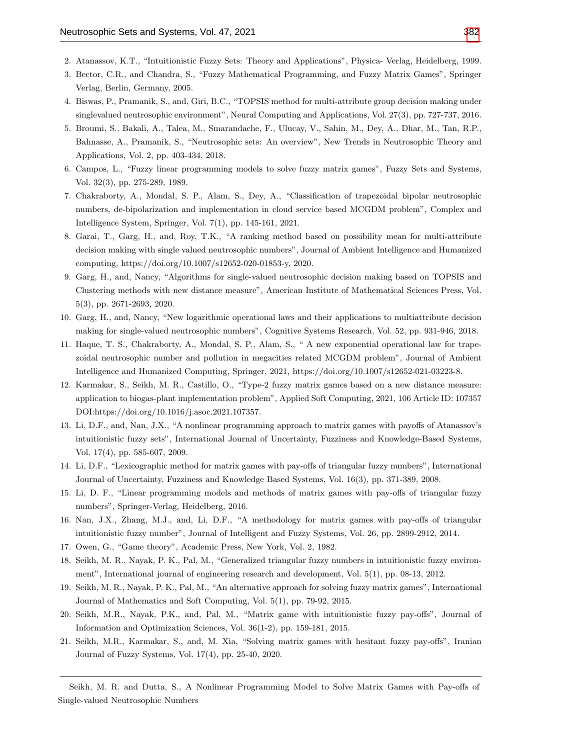- <span id="page-16-7"></span>2. Atanassov, K.T., "Intuitionistic Fuzzy Sets: Theory and Applications", Physica- Verlag, Heidelberg, 1999.
- <span id="page-16-2"></span>3. Bector, C.R., and Chandra, S., "Fuzzy Mathematical Programming, and Fuzzy Matrix Games", Springer Verlag, Berlin, Germany, 2005.
- <span id="page-16-11"></span>4. Biswas, P., Pramanik, S., and, Giri, B.C., "TOPSIS method for multi-attribute group decision making under singlevalued neutrosophic environment", Neural Computing and Applications, Vol. 27(3), pp. 727-737, 2016.
- <span id="page-16-17"></span>5. Broumi, S., Bakali, A., Talea, M., Smarandache, F., Ulucay, V., Sahin, M., Dey, A., Dhar, M., Tan, R.P., Bahnasse, A., Pramanik, S., "Neutrosophic sets: An overview", New Trends in Neutrosophic Theory and Applications, Vol. 2, pp. 403-434, 2018.
- <span id="page-16-1"></span>6. Campos, L., "Fuzzy linear programming models to solve fuzzy matrix games", Fuzzy Sets and Systems, Vol. 32(3), pp. 275-289, 1989.
- <span id="page-16-15"></span>7. Chakraborty, A., Mondal, S. P., Alam, S., Dey, A., "Classification of trapezoidal bipolar neutrosophic numbers, de-bipolarization and implementation in cloud service based MCGDM problem", Complex and Intelligence System, Springer, Vol. 7(1), pp. 145-161, 2021.
- <span id="page-16-13"></span>8. Garai, T., Garg, H., and, Roy, T.K., "A ranking method based on possibility mean for multi-attribute decision making with single valued neutrosophic numbers", Journal of Ambient Intelligence and Humanized computing, https://doi.org/10.1007/s12652-020-01853-y, 2020.
- <span id="page-16-12"></span>9. Garg, H., and, Nancy, "Algorithms for single-valued neutrosophic decision making based on TOPSIS and Clustering methods with new distance measure", American Institute of Mathematical Sciences Press, Vol. 5(3), pp. 2671-2693, 2020.
- 10. Garg, H., and, Nancy, "New logarithmic operational laws and their applications to multiattribute decision making for single-valued neutrosophic numbers", Cognitive Systems Research, Vol. 52, pp. 931-946, 2018.
- <span id="page-16-14"></span>11. Haque, T. S., Chakraborty, A., Mondal, S. P., Alam, S., " A new exponential operational law for trapezoidal neutrosophic number and pollution in megacities related MCGDM problem", Journal of Ambient Intelligence and Humanized Computing, Springer, 2021, https://doi.org/10.1007/s12652-021-03223-8.
- <span id="page-16-6"></span>12. Karmakar, S., Seikh, M. R., Castillo, O., "Type-2 fuzzy matrix games based on a new distance measure: application to biogas-plant implementation problem", Applied Soft Computing, 2021, 106 Article ID: 107357 DOI:https://doi.org/10.1016/j.asoc.2021.107357.
- <span id="page-16-18"></span>13. Li, D.F., and, Nan, J.X., "A nonlinear programming approach to matrix games with payoffs of Atanassov's intuitionistic fuzzy sets", International Journal of Uncertainty, Fuzziness and Knowledge-Based Systems, Vol. 17(4), pp. 585-607, 2009.
- <span id="page-16-16"></span>14. Li, D.F., "Lexicographic method for matrix games with pay-offs of triangular fuzzy numbers", International Journal of Uncertainty, Fuzziness and Knowledge Based Systems, Vol. 16(3), pp. 371-389, 2008.
- <span id="page-16-3"></span>15. Li, D. F., "Linear programming models and methods of matrix games with pay-offs of triangular fuzzy numbers", Springer-Verlag, Heidelberg, 2016.
- <span id="page-16-8"></span>16. Nan, J.X., Zhang, M.J., and, Li, D.F., "A methodology for matrix games with pay-offs of triangular intuitionistic fuzzy number", Journal of Intelligent and Fuzzy Systems, Vol. 26, pp. 2899-2912, 2014.
- <span id="page-16-0"></span>17. Owen, G., "Game theory", Academic Press, New York, Vol. 2, 1982.
- <span id="page-16-9"></span>18. Seikh, M. R., Nayak, P. K., Pal, M., "Generalized triangular fuzzy numbers in intuitionistic fuzzy environment", International journal of engineering research and development, Vol. 5(1), pp. 08-13, 2012.
- <span id="page-16-4"></span>19. Seikh, M. R., Nayak, P. K., Pal, M., "An alternative approach for solving fuzzy matrix games", International Journal of Mathematics and Soft Computing, Vol. 5(1), pp. 79-92, 2015.
- <span id="page-16-10"></span>20. Seikh, M.R., Nayak, P.K., and, Pal, M., "Matrix game with intuitionistic fuzzy pay-offs", Journal of Information and Optimization Sciences, Vol. 36(1-2), pp. 159-181, 2015.
- <span id="page-16-5"></span>21. Seikh, M.R., Karmakar, S., and, M. Xia, "Solving matrix games with hesitant fuzzy pay-offs", Iranian Journal of Fuzzy Systems, Vol. 17(4), pp. 25-40, 2020.

Seikh, M. R. and Dutta, S., A Nonlinear Programming Model to Solve Matrix Games with Pay-offs of Single-valued Neutrosophic Numbers